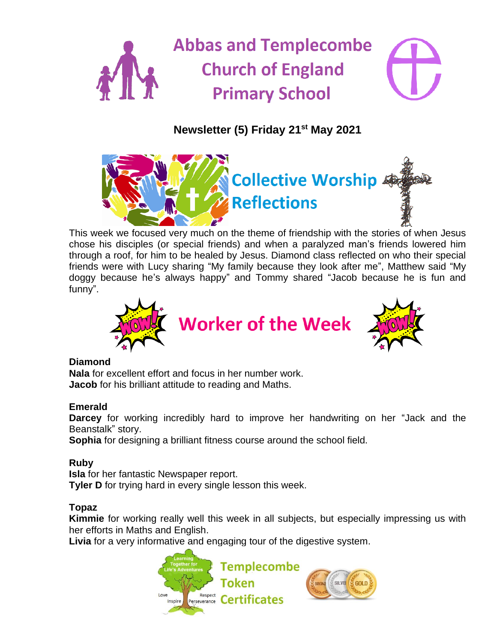

# **Newsletter (5) Friday 21 st May 2021**



This week we focused very much on the theme of friendship with the stories of when Jesus chose his disciples (or special friends) and when a paralyzed man's friends lowered him through a roof, for him to be healed by Jesus. Diamond class reflected on who their special friends were with Lucy sharing "My family because they look after me", Matthew said "My doggy because he's always happy" and Tommy shared "Jacob because he is fun and funny".



#### **Diamond**

**Nala** for excellent effort and focus in her number work. **Jacob** for his brilliant attitude to reading and Maths.

## **Emerald**

**Darcey** for working incredibly hard to improve her handwriting on her "Jack and the Beanstalk" story.

**Sophia** for designing a brilliant fitness course around the school field.

## **Ruby**

**Isla** for her fantastic Newspaper report.

**Tyler D** for trying hard in every single lesson this week.

## **Topaz**

**Kimmie** for working really well this week in all subjects, but especially impressing us with her efforts in Maths and English.

**Livia** for a very informative and engaging tour of the digestive system.

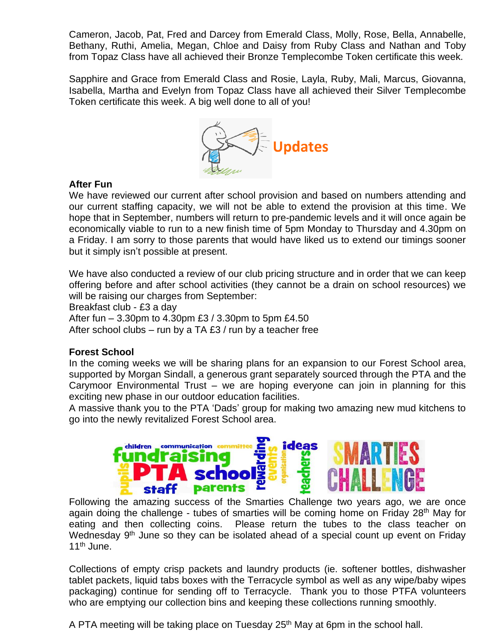Cameron, Jacob, Pat, Fred and Darcey from Emerald Class, Molly, Rose, Bella, Annabelle, Bethany, Ruthi, Amelia, Megan, Chloe and Daisy from Ruby Class and Nathan and Toby from Topaz Class have all achieved their Bronze Templecombe Token certificate this week.

Sapphire and Grace from Emerald Class and Rosie, Layla, Ruby, Mali, Marcus, Giovanna, Isabella, Martha and Evelyn from Topaz Class have all achieved their Silver Templecombe Token certificate this week. A big well done to all of you!



#### **After Fun**

We have reviewed our current after school provision and based on numbers attending and our current staffing capacity, we will not be able to extend the provision at this time. We hope that in September, numbers will return to pre-pandemic levels and it will once again be economically viable to run to a new finish time of 5pm Monday to Thursday and 4.30pm on a Friday. I am sorry to those parents that would have liked us to extend our timings sooner but it simply isn't possible at present.

We have also conducted a review of our club pricing structure and in order that we can keep offering before and after school activities (they cannot be a drain on school resources) we will be raising our charges from September:

Breakfast club - £3 a day

After fun – 3.30pm to 4.30pm £3 / 3.30pm to 5pm £4.50

After school clubs – run by a TA £3 / run by a teacher free

#### **Forest School**

In the coming weeks we will be sharing plans for an expansion to our Forest School area, supported by Morgan Sindall, a generous grant separately sourced through the PTA and the Carymoor Environmental Trust – we are hoping everyone can join in planning for this exciting new phase in our outdoor education facilities.

A massive thank you to the PTA 'Dads' group for making two amazing new mud kitchens to go into the newly revitalized Forest School area.



Following the amazing success of the Smarties Challenge two years ago, we are once again doing the challenge - tubes of smarties will be coming home on Friday 28<sup>th</sup> May for eating and then collecting coins. Please return the tubes to the class teacher on Wednesday 9<sup>th</sup> June so they can be isolated ahead of a special count up event on Friday 11<sup>th</sup> June.

Collections of empty crisp packets and laundry products (ie. softener bottles, dishwasher tablet packets, liquid tabs boxes with the Terracycle symbol as well as any wipe/baby wipes packaging) continue for sending off to Terracycle. Thank you to those PTFA volunteers who are emptying our collection bins and keeping these collections running smoothly.

A PTA meeting will be taking place on Tuesday  $25<sup>th</sup>$  May at 6pm in the school hall.